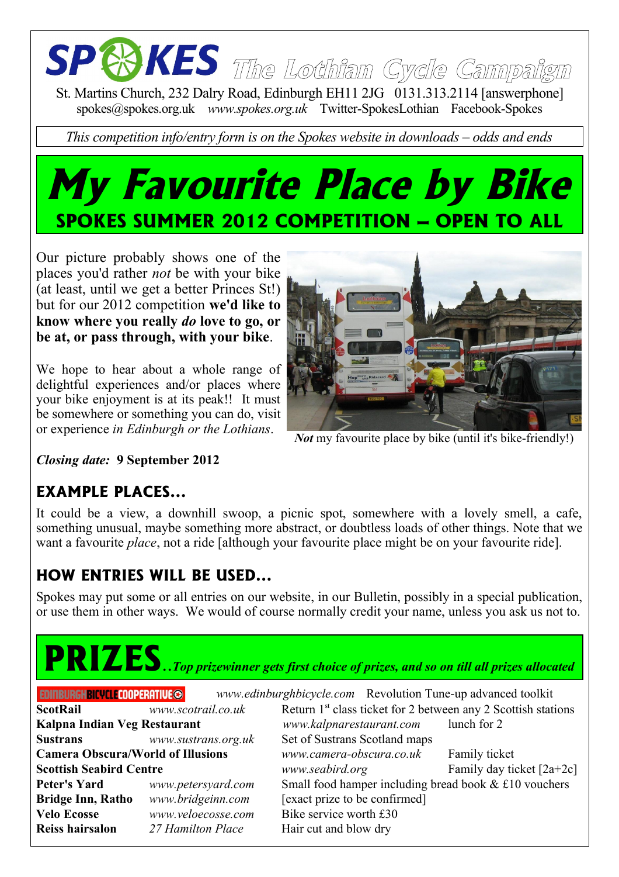# **The Lothian Cycle Campaign**

St. Martins Church, 232 Dalry Road, Edinburgh EH11 2JG 0131.313.2114 [answerphone] spokes@spokes.org.uk *www.spokes.org.uk* Twitter-SpokesLothian Facebook-Spokes

*This competition info/entry form is on the Spokes website in downloads – odds and ends*

### **My Favourite Place by Bike SPOKES SUMMER 2012 COMPETITION – OPEN TO ALL**

Our picture probably shows one of the places you'd rather *not* be with your bike (at least, until we get a better Princes St!) but for our 2012 competition **we'd like to know where you really** *do* **love to go, or be at, or pass through, with your bike**.

We hope to hear about a whole range of delightful experiences and/or places where your bike enjoyment is at its peak!! It must be somewhere or something you can do, visit or experience *in Edinburgh or the Lothians*.



*Not* my favourite place by bike (until it's bike-friendly!)

*Closing date:* **9 September 2012**

#### **EXAMPLE PLACES...**

It could be a view, a downhill swoop, a picnic spot, somewhere with a lovely smell, a cafe, something unusual, maybe something more abstract, or doubtless loads of other things. Note that we want a favourite *place*, not a ride [although your favourite place might be on your favourite ride].

#### **HOW ENTRIES WILL BE USED...**

Spokes may put some or all entries on our website, in our Bulletin, possibly in a special publication, or use them in other ways. We would of course normally credit your name, unless you ask us not to.

## **PRIZES**..*Top prizewinner gets first choice of prizes, and so on till all prizes allocated*

| EDINBURGHBICYCLECOOPERATIVE©             |                     | www.edinburghbicycle.com Revolution Tune-up advanced toolkit              |                             |
|------------------------------------------|---------------------|---------------------------------------------------------------------------|-----------------------------|
| <b>ScotRail</b>                          | www.scotrail.co.uk  | Return 1 <sup>st</sup> class ticket for 2 between any 2 Scottish stations |                             |
| Kalpna Indian Veg Restaurant             |                     | www.kalpnarestaurant.com                                                  | lunch for 2                 |
| <b>Sustrans</b>                          | www.sustrans.org.uk | Set of Sustrans Scotland maps                                             |                             |
| <b>Camera Obscura/World of Illusions</b> |                     | www.camera-obscura.co.uk                                                  | Family ticket               |
| <b>Scottish Seabird Centre</b>           |                     | www.seabird.org                                                           | Family day ticket $[2a+2c]$ |
| <b>Peter's Yard</b>                      | www.petersyard.com  | Small food hamper including bread book $& \text{\pounds}10$ vouchers      |                             |
| <b>Bridge Inn, Ratho</b>                 | www.bridgeinn.com   | [exact prize to be confirmed]                                             |                             |
| <b>Velo Ecosse</b>                       | www.veloecosse.com  | Bike service worth £30                                                    |                             |
| Reiss hairsalon                          | 27 Hamilton Place   | Hair cut and blow dry                                                     |                             |